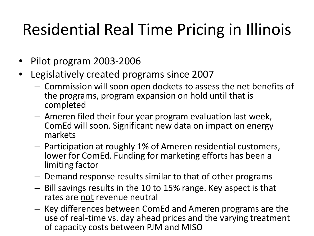## Residential Real Time Pricing in Illinois

- Pilot program 2003-2006
- Legislatively created programs since 2007
	- Commission will soon open dockets to assess the net benefits of the programs, program expansion on hold until that is completed
	- Ameren filed their four year program evaluation last week, ComEd will soon. Significant new data on impact on energy markets
	- Participation at roughly 1% of Ameren residential customers, lower for ComEd. Funding for marketing efforts has been a limiting factor
	- Demand response results similar to that of other programs
	- Bill savings results in the 10 to 15% range. Key aspect is that rates are not revenue neutral
	- Key differences between ComEd and Ameren programs are the use of real-time vs. day ahead prices and the varying treatment of capacity costs between PJM and MISO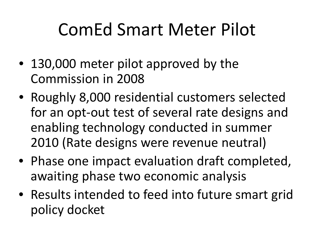## ComEd Smart Meter Pilot

- 130,000 meter pilot approved by the Commission in 2008
- Roughly 8,000 residential customers selected for an opt-out test of several rate designs and enabling technology conducted in summer 2010 (Rate designs were revenue neutral)
- Phase one impact evaluation draft completed, awaiting phase two economic analysis
- Results intended to feed into future smart grid policy docket